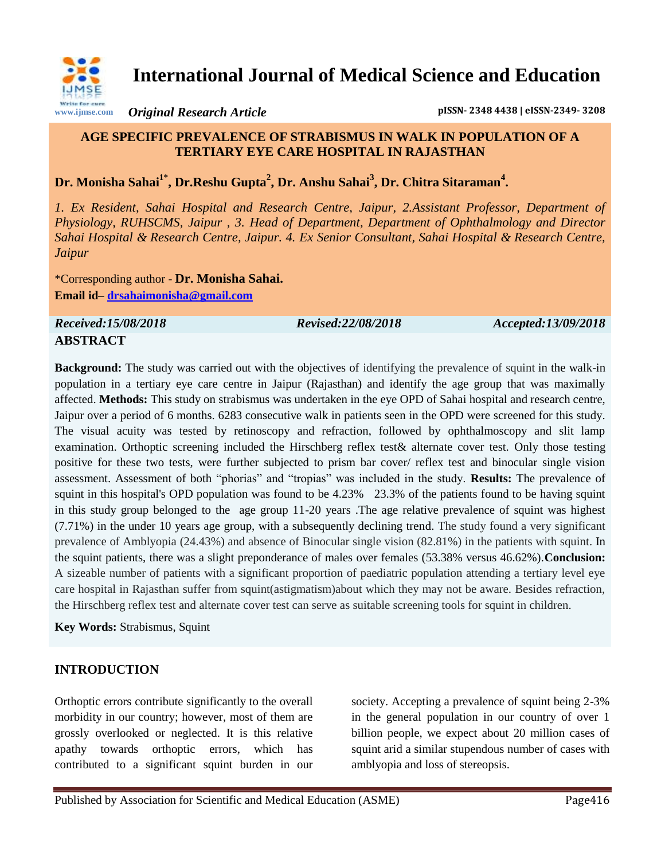

**International Journal of Medical Science and Education**

*Original Research Article* **pISSN- 2348 4438 | eISSN-2349- 3208**

## **AGE SPECIFIC PREVALENCE OF STRABISMUS IN WALK IN POPULATION OF A TERTIARY EYE CARE HOSPITAL IN RAJASTHAN**

**Dr. Monisha Sahai1\* , Dr.Reshu Gupta<sup>2</sup> , Dr. Anshu Sahai<sup>3</sup> , Dr. Chitra Sitaraman<sup>4</sup> .**

*1. Ex Resident, Sahai Hospital and Research Centre, Jaipur, 2.Assistant Professor, Department of Physiology, RUHSCMS, Jaipur , 3. Head of Department, Department of Ophthalmology and Director Sahai Hospital & Research Centre, Jaipur. 4. Ex Senior Consultant, Sahai Hospital & Research Centre, Jaipur*

\*Corresponding author - **Dr. Monisha Sahai. Email id– drsahaimonisha@gmail.com**

*Received:15/08/2018 Revised:22/08/2018 Accepted:13/09/2018* **ABSTRACT**

**Background:** The study was carried out with the objectives of identifying the prevalence of squint in the walk-in population in a tertiary eye care centre in Jaipur (Rajasthan) and identify the age group that was maximally affected. **Methods:** This study on strabismus was undertaken in the eye OPD of Sahai hospital and research centre, Jaipur over a period of 6 months. 6283 consecutive walk in patients seen in the OPD were screened for this study. The visual acuity was tested by retinoscopy and refraction, followed by ophthalmoscopy and slit lamp examination. Orthoptic screening included the Hirschberg reflex test& alternate cover test. Only those testing positive for these two tests, were further subjected to prism bar cover/ reflex test and binocular single vision assessment. Assessment of both "phorias" and "tropias" was included in the study. **Results:** The prevalence of squint in this hospital's OPD population was found to be 4.23% 23.3% of the patients found to be having squint in this study group belonged to the age group 11-20 years .The age relative prevalence of squint was highest (7.71%) in the under 10 years age group, with a subsequently declining trend. The study found a very significant prevalence of Amblyopia (24.43%) and absence of Binocular single vision (82.81%) in the patients with squint. In the squint patients, there was a slight preponderance of males over females (53.38% versus 46.62%).**Conclusion:**  A sizeable number of patients with a significant proportion of paediatric population attending a tertiary level eye care hospital in Rajasthan suffer from squint(astigmatism)about which they may not be aware. Besides refraction, the Hirschberg reflex test and alternate cover test can serve as suitable screening tools for squint in children.

**Key Words:** Strabismus, Squint

# **INTRODUCTION**

Orthoptic errors contribute significantly to the overall morbidity in our country; however, most of them are grossly overlooked or neglected. It is this relative apathy towards orthoptic errors, which has contributed to a significant squint burden in our

society. Accepting a prevalence of squint being 2-3% in the general population in our country of over 1 billion people, we expect about 20 million cases of squint arid a similar stupendous number of cases with amblyopia and loss of stereopsis.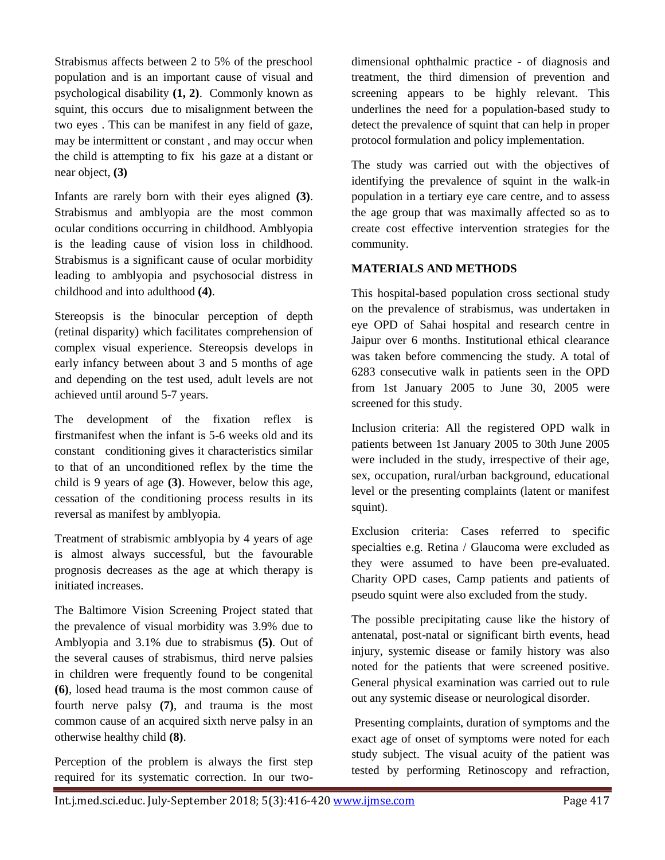Strabismus affects between 2 to 5% of the preschool population and is an important cause of visual and psychological disability **(1, 2)**. Commonly known as squint, this occurs due to misalignment between the two eyes . This can be manifest in any field of gaze, may be intermittent or constant , and may occur when the child is attempting to fix his gaze at a distant or near object, **(3)**

Infants are rarely born with their eyes aligned **(3)**. Strabismus and amblyopia are the most common ocular conditions occurring in childhood. Amblyopia is the leading cause of vision loss in childhood. Strabismus is a significant cause of ocular morbidity leading to amblyopia and psychosocial distress in childhood and into adulthood **(4)**.

Stereopsis is the binocular perception of depth (retinal disparity) which facilitates comprehension of complex visual experience. Stereopsis develops in early infancy between about 3 and 5 months of age and depending on the test used, adult levels are not achieved until around 5-7 years.

The development of the fixation reflex is firstmanifest when the infant is 5-6 weeks old and its constant conditioning gives it characteristics similar to that of an unconditioned reflex by the time the child is 9 years of age **(3)**. However, below this age, cessation of the conditioning process results in its reversal as manifest by amblyopia.

Treatment of strabismic amblyopia by 4 years of age is almost always successful, but the favourable prognosis decreases as the age at which therapy is initiated increases.

The Baltimore Vision Screening Project stated that the prevalence of visual morbidity was 3.9% due to Amblyopia and 3.1% due to strabismus **(5)**. Out of the several causes of strabismus, third nerve palsies in children were frequently found to be congenital **(6)**, losed head trauma is the most common cause of fourth nerve palsy **(7)**, and trauma is the most common cause of an acquired sixth nerve palsy in an otherwise healthy child **(8)**.

Perception of the problem is always the first step required for its systematic correction. In our two-

dimensional ophthalmic practice - of diagnosis and treatment, the third dimension of prevention and screening appears to be highly relevant. This underlines the need for a population-based study to detect the prevalence of squint that can help in proper protocol formulation and policy implementation.

The study was carried out with the objectives of identifying the prevalence of squint in the walk-in population in a tertiary eye care centre, and to assess the age group that was maximally affected so as to create cost effective intervention strategies for the community.

## **MATERIALS AND METHODS**

This hospital-based population cross sectional study on the prevalence of strabismus, was undertaken in eye OPD of Sahai hospital and research centre in Jaipur over 6 months. Institutional ethical clearance was taken before commencing the study. A total of 6283 consecutive walk in patients seen in the OPD from 1st January 2005 to June 30, 2005 were screened for this study.

Inclusion criteria: All the registered OPD walk in patients between 1st January 2005 to 30th June 2005 were included in the study, irrespective of their age, sex, occupation, rural/urban background, educational level or the presenting complaints (latent or manifest squint).

Exclusion criteria: Cases referred to specific specialties e.g. Retina / Glaucoma were excluded as they were assumed to have been pre-evaluated. Charity OPD cases, Camp patients and patients of pseudo squint were also excluded from the study.

The possible precipitating cause like the history of antenatal, post-natal or significant birth events, head injury, systemic disease or family history was also noted for the patients that were screened positive. General physical examination was carried out to rule out any systemic disease or neurological disorder.

Presenting complaints, duration of symptoms and the exact age of onset of symptoms were noted for each study subject. The visual acuity of the patient was tested by performing Retinoscopy and refraction,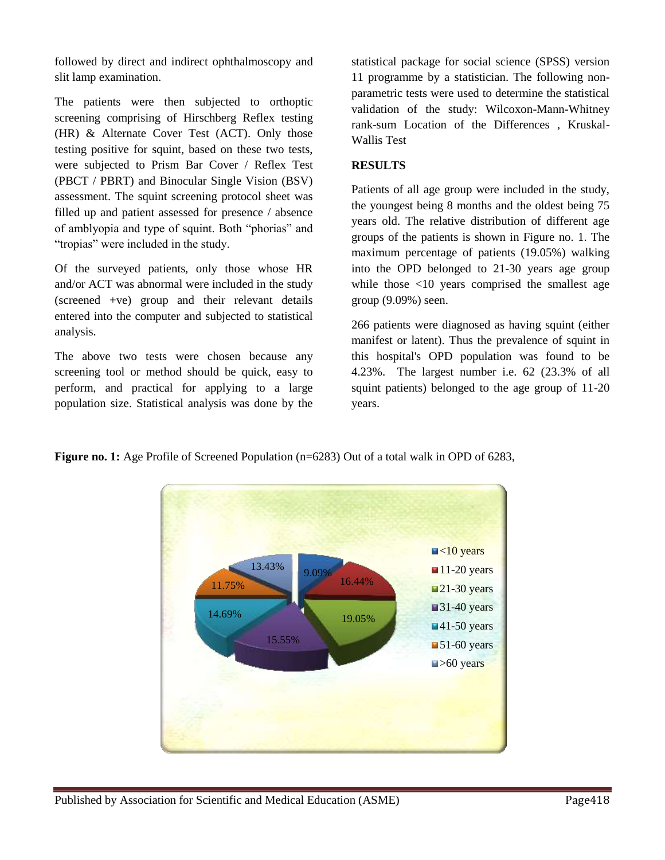followed by direct and indirect ophthalmoscopy and slit lamp examination.

The patients were then subjected to orthoptic screening comprising of Hirschberg Reflex testing (HR) & Alternate Cover Test (ACT). Only those testing positive for squint, based on these two tests, were subjected to Prism Bar Cover / Reflex Test (PBCT / PBRT) and Binocular Single Vision (BSV) assessment. The squint screening protocol sheet was filled up and patient assessed for presence / absence of amblyopia and type of squint. Both "phorias" and "tropias" were included in the study.

Of the surveyed patients, only those whose HR and/or ACT was abnormal were included in the study (screened +ve) group and their relevant details entered into the computer and subjected to statistical analysis.

The above two tests were chosen because any screening tool or method should be quick, easy to perform, and practical for applying to a large population size. Statistical analysis was done by the

statistical package for social science (SPSS) version 11 programme by a statistician. The following nonparametric tests were used to determine the statistical validation of the study: Wilcoxon-Mann-Whitney rank-sum Location of the Differences , Kruskal-Wallis Test

#### **RESULTS**

Patients of all age group were included in the study, the youngest being 8 months and the oldest being 75 years old. The relative distribution of different age groups of the patients is shown in Figure no. 1. The maximum percentage of patients (19.05%) walking into the OPD belonged to 21-30 years age group while those <10 years comprised the smallest age group (9.09%) seen.

266 patients were diagnosed as having squint (either manifest or latent). Thus the prevalence of squint in this hospital's OPD population was found to be 4.23%. The largest number i.e. 62 (23.3% of all squint patients) belonged to the age group of 11-20 years.

**Figure no. 1:** Age Profile of Screened Population (n=6283) Out of a total walk in OPD of 6283,

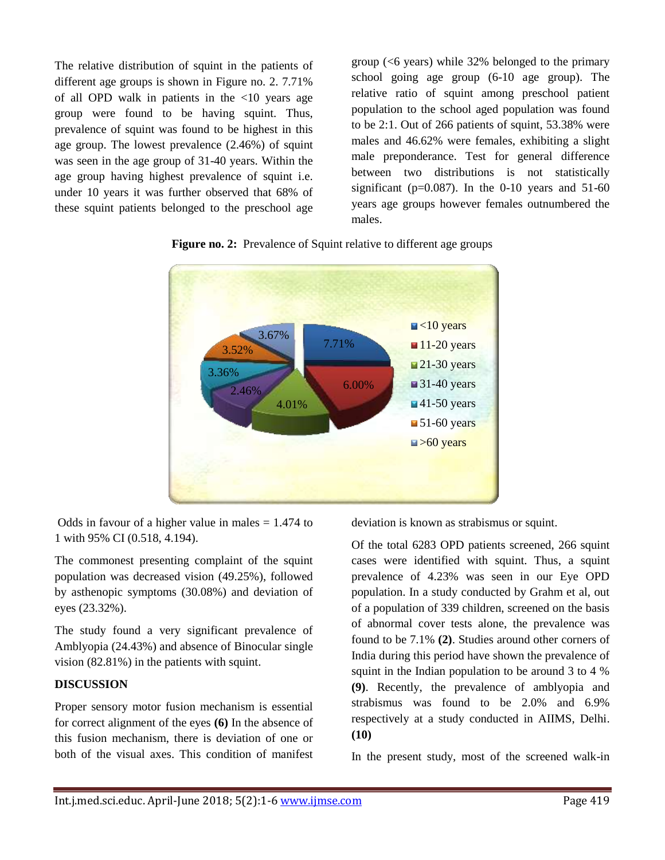The relative distribution of squint in the patients of different age groups is shown in Figure no. 2. 7.71% of all OPD walk in patients in the <10 years age group were found to be having squint. Thus, prevalence of squint was found to be highest in this age group. The lowest prevalence (2.46%) of squint was seen in the age group of 31-40 years. Within the age group having highest prevalence of squint i.e. under 10 years it was further observed that 68% of these squint patients belonged to the preschool age

group ( $\leq 6$  years) while 32% belonged to the primary school going age group (6-10 age group). The relative ratio of squint among preschool patient population to the school aged population was found to be 2:1. Out of 266 patients of squint, 53.38% were males and 46.62% were females, exhibiting a slight male preponderance. Test for general difference between two distributions is not statistically significant ( $p=0.087$ ). In the 0-10 years and 51-60 years age groups however females outnumbered the males.





Odds in favour of a higher value in males  $= 1.474$  to 1 with 95% CI (0.518, 4.194).

The commonest presenting complaint of the squint population was decreased vision (49.25%), followed by asthenopic symptoms (30.08%) and deviation of eyes (23.32%).

The study found a very significant prevalence of Amblyopia (24.43%) and absence of Binocular single vision (82.81%) in the patients with squint.

## **DISCUSSION**

Proper sensory motor fusion mechanism is essential for correct alignment of the eyes **(6)** In the absence of this fusion mechanism, there is deviation of one or both of the visual axes. This condition of manifest

deviation is known as strabismus or squint.

Of the total 6283 OPD patients screened, 266 squint cases were identified with squint. Thus, a squint prevalence of 4.23% was seen in our Eye OPD population. In a study conducted by Grahm et al, out of a population of 339 children, screened on the basis of abnormal cover tests alone, the prevalence was found to be 7.1% **(2)**. Studies around other corners of India during this period have shown the prevalence of squint in the Indian population to be around 3 to 4 % **(9)**. Recently, the prevalence of amblyopia and strabismus was found to be 2.0% and 6.9% respectively at a study conducted in AIIMS, Delhi. **(10)**

In the present study, most of the screened walk-in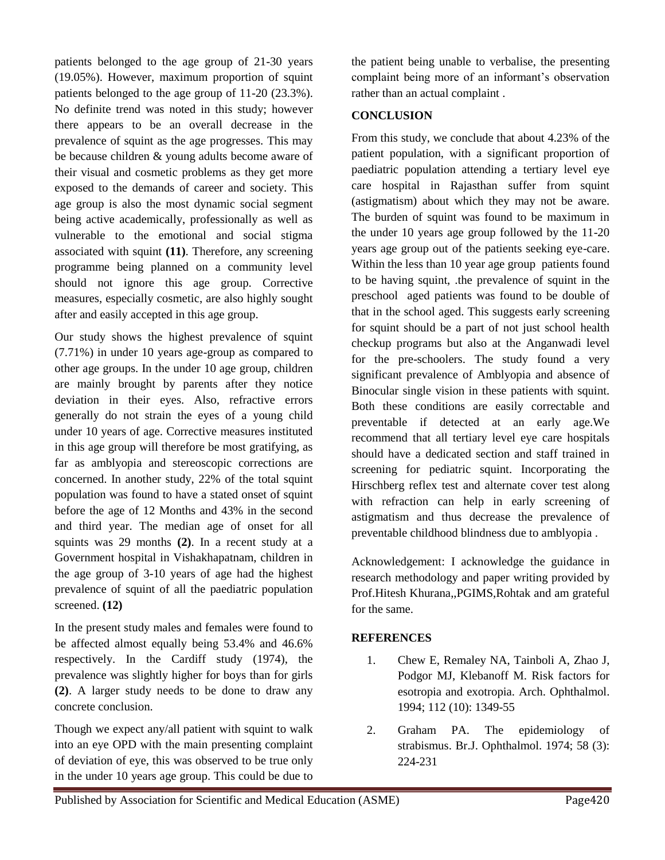patients belonged to the age group of 21-30 years (19.05%). However, maximum proportion of squint patients belonged to the age group of 11-20 (23.3%). No definite trend was noted in this study; however there appears to be an overall decrease in the prevalence of squint as the age progresses. This may be because children & young adults become aware of their visual and cosmetic problems as they get more exposed to the demands of career and society. This age group is also the most dynamic social segment being active academically, professionally as well as vulnerable to the emotional and social stigma associated with squint **(11)**. Therefore, any screening programme being planned on a community level should not ignore this age group. Corrective measures, especially cosmetic, are also highly sought after and easily accepted in this age group.

Our study shows the highest prevalence of squint (7.71%) in under 10 years age-group as compared to other age groups. In the under 10 age group, children are mainly brought by parents after they notice deviation in their eyes. Also, refractive errors generally do not strain the eyes of a young child under 10 years of age. Corrective measures instituted in this age group will therefore be most gratifying, as far as amblyopia and stereoscopic corrections are concerned. In another study, 22% of the total squint population was found to have a stated onset of squint before the age of 12 Months and 43% in the second and third year. The median age of onset for all squints was 29 months **(2)**. In a recent study at a Government hospital in Vishakhapatnam, children in the age group of 3-10 years of age had the highest prevalence of squint of all the paediatric population screened. **(12)**

In the present study males and females were found to be affected almost equally being 53.4% and 46.6% respectively. In the Cardiff study (1974), the prevalence was slightly higher for boys than for girls **(2)**. A larger study needs to be done to draw any concrete conclusion.

Though we expect any/all patient with squint to walk into an eye OPD with the main presenting complaint of deviation of eye, this was observed to be true only in the under 10 years age group. This could be due to

the patient being unable to verbalise, the presenting complaint being more of an informant's observation rather than an actual complaint .

### **CONCLUSION**

From this study, we conclude that about 4.23% of the patient population, with a significant proportion of paediatric population attending a tertiary level eye care hospital in Rajasthan suffer from squint (astigmatism) about which they may not be aware. The burden of squint was found to be maximum in the under 10 years age group followed by the 11-20 years age group out of the patients seeking eye-care. Within the less than 10 year age group patients found to be having squint, .the prevalence of squint in the preschool aged patients was found to be double of that in the school aged. This suggests early screening for squint should be a part of not just school health checkup programs but also at the Anganwadi level for the pre-schoolers. The study found a very significant prevalence of Amblyopia and absence of Binocular single vision in these patients with squint. Both these conditions are easily correctable and preventable if detected at an early age.We recommend that all tertiary level eye care hospitals should have a dedicated section and staff trained in screening for pediatric squint. Incorporating the Hirschberg reflex test and alternate cover test along with refraction can help in early screening of astigmatism and thus decrease the prevalence of preventable childhood blindness due to amblyopia .

Acknowledgement: I acknowledge the guidance in research methodology and paper writing provided by Prof.Hitesh Khurana,,PGIMS,Rohtak and am grateful for the same.

#### **REFERENCES**

- 1. Chew E, Remaley NA, Tainboli A, Zhao J, Podgor MJ, Klebanoff M. Risk factors for esotropia and exotropia. Arch. Ophthalmol. 1994; 112 (10): 1349-55
- 2. Graham PA. The epidemiology of strabismus. Br.J. Ophthalmol. 1974; 58 (3): 224-231